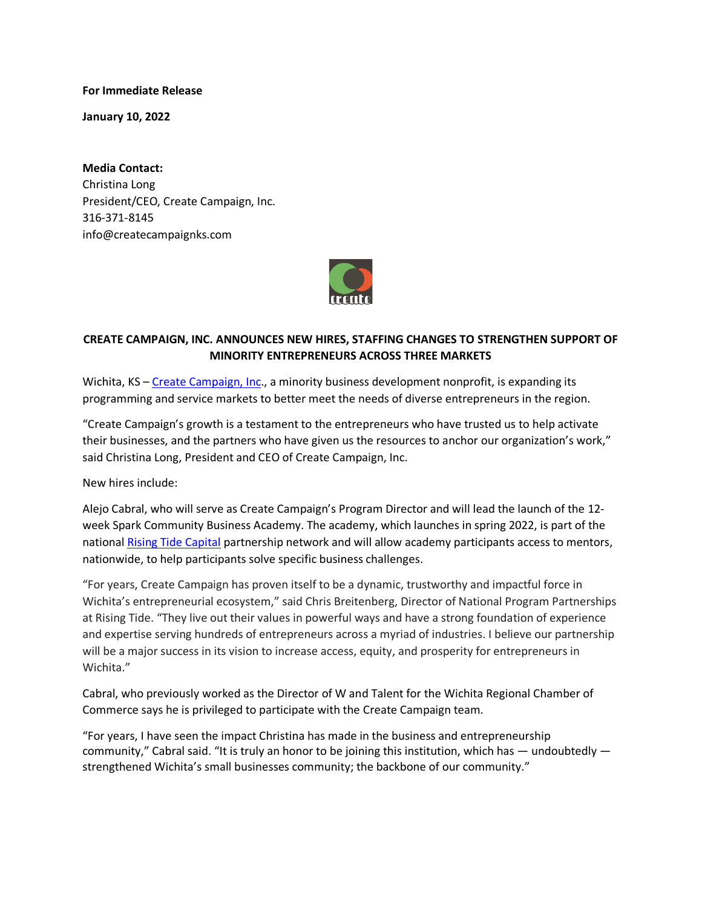**For Immediate Release**

**January 10, 2022**

**Media Contact:** Christina Long President/CEO, Create Campaign, Inc. 316-371-8145 info@createcampaignks.com



## **CREATE CAMPAIGN, INC. ANNOUNCES NEW HIRES, STAFFING CHANGES TO STRENGTHEN SUPPORT OF MINORITY ENTREPRENEURS ACROSS THREE MARKETS**

Wichita, KS – [Create Campaign, Inc.](https://www.createcampaignks.com/), a minority business development nonprofit, is expanding its programming and service markets to better meet the needs of diverse entrepreneurs in the region.

"Create Campaign's growth is a testament to the entrepreneurs who have trusted us to help activate their businesses, and the partners who have given us the resources to anchor our organization's work," said Christina Long, President and CEO of Create Campaign, Inc.

New hires include:

Alejo Cabral, who will serve as Create Campaign's Program Director and will lead the launch of the 12 week Spark Community Business Academy. The academy, which launches in spring 2022, is part of the national [Rising Tide Capital](https://www.risingtidecapital.org/) partnership network and will allow academy participants access to mentors, nationwide, to help participants solve specific business challenges.

"For years, Create Campaign has proven itself to be a dynamic, trustworthy and impactful force in Wichita's entrepreneurial ecosystem," said Chris Breitenberg, Director of National Program Partnerships at Rising Tide. "They live out their values in powerful ways and have a strong foundation of experience and expertise serving hundreds of entrepreneurs across a myriad of industries. I believe our partnership will be a major success in its vision to increase access, equity, and prosperity for entrepreneurs in Wichita."

Cabral, who previously worked as the Director of W and Talent for the Wichita Regional Chamber of Commerce says he is privileged to participate with the Create Campaign team.

"For years, I have seen the impact Christina has made in the business and entrepreneurship community," Cabral said. "It is truly an honor to be joining this institution, which has — undoubtedly strengthened Wichita's small businesses community; the backbone of our community."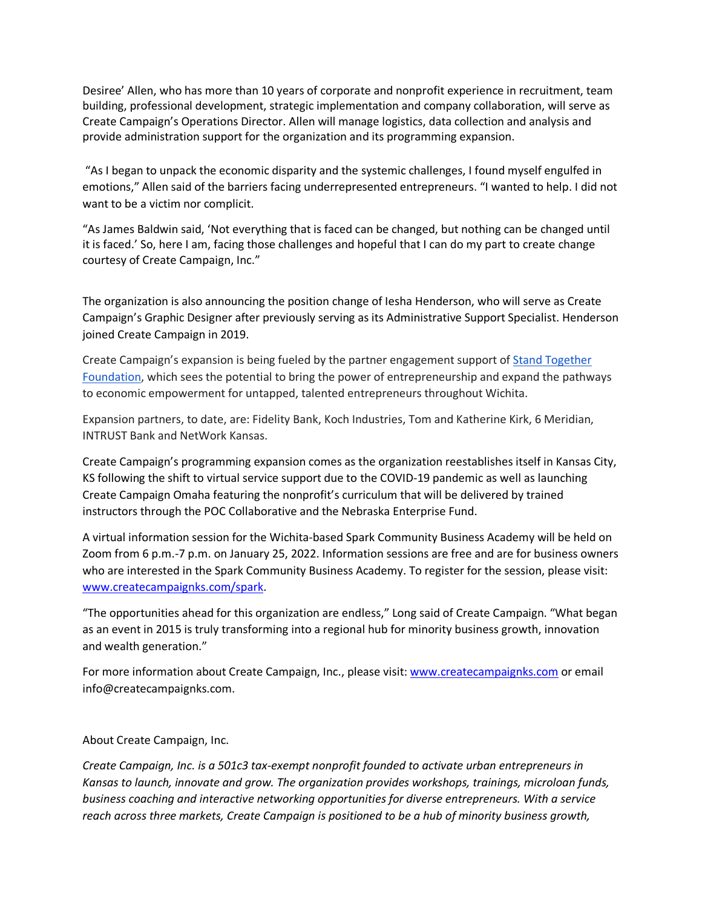Desiree' Allen, who has more than 10 years of corporate and nonprofit experience in recruitment, team building, professional development, strategic implementation and company collaboration, will serve as Create Campaign's Operations Director. Allen will manage logistics, data collection and analysis and provide administration support for the organization and its programming expansion.

"As I began to unpack the economic disparity and the systemic challenges, I found myself engulfed in emotions," Allen said of the barriers facing underrepresented entrepreneurs. "I wanted to help. I did not want to be a victim nor complicit.

"As James Baldwin said, 'Not everything that is faced can be changed, but nothing can be changed until it is faced.' So, here I am, facing those challenges and hopeful that I can do my part to create change courtesy of Create Campaign, Inc."

The organization is also announcing the position change of Iesha Henderson, who will serve as Create Campaign's Graphic Designer after previously serving as its Administrative Support Specialist. Henderson joined Create Campaign in 2019.

Create Campaign's expansion is being fueled by the partner engagement support of [Stand Together](https://standtogetherfoundation.org/)  [Foundation,](https://standtogetherfoundation.org/) which sees the potential to bring the power of entrepreneurship and expand the pathways to economic empowerment for untapped, talented entrepreneurs throughout Wichita.

Expansion partners, to date, are: Fidelity Bank, Koch Industries, Tom and Katherine Kirk, 6 Meridian, INTRUST Bank and NetWork Kansas.

Create Campaign's programming expansion comes as the organization reestablishes itself in Kansas City, KS following the shift to virtual service support due to the COVID-19 pandemic as well as launching Create Campaign Omaha featuring the nonprofit's curriculum that will be delivered by trained instructors through the POC Collaborative and the Nebraska Enterprise Fund.

A virtual information session for the Wichita-based Spark Community Business Academy will be held on Zoom from 6 p.m.-7 p.m. on January 25, 2022. Information sessions are free and are for business owners who are interested in the Spark Community Business Academy. To register for the session, please visit: [www.createcampaignks.com/spark.](https://www.createcampaignks.com/spark)

"The opportunities ahead for this organization are endless," Long said of Create Campaign. "What began as an event in 2015 is truly transforming into a regional hub for minority business growth, innovation and wealth generation."

For more information about Create Campaign, Inc., please visit[: www.createcampaignks.com](https://www.createcampaignks.com/) or email info@createcampaignks.com.

About Create Campaign, Inc.

*Create Campaign, Inc. is a 501c3 tax-exempt nonprofit founded to activate urban entrepreneurs in Kansas to launch, innovate and grow. The organization provides workshops, trainings, microloan funds, business coaching and interactive networking opportunities for diverse entrepreneurs. With a service reach across three markets, Create Campaign is positioned to be a hub of minority business growth,*